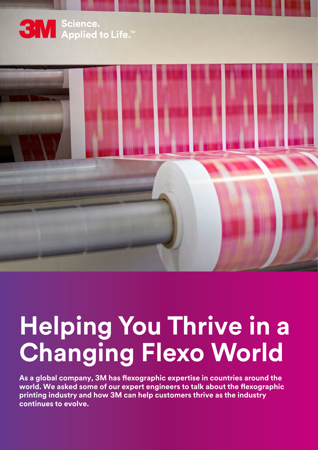



# **Helping You Thrive in a Changing Flexo World**

**As a global company, 3M has flexographic expertise in countries around the world. We asked some of our expert engineers to talk about the flexographic printing industry and how 3M can help customers thrive as the industry continues to evolve.**